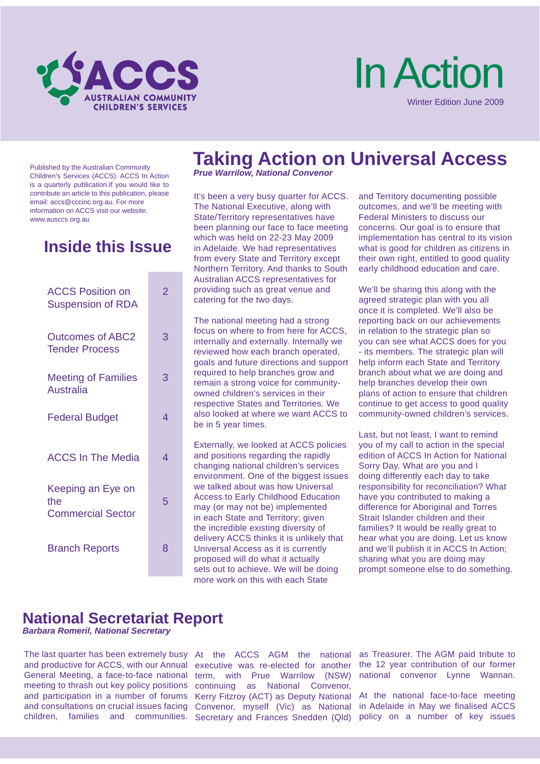

# In Action Winter Edition June 2009

Published by the Australian Community Children's Services (ACCS). ACCS In Action is a quarterly publication.If you would like to contribute an article to this publication, please email: accs@cccinc.org.au. For more information on ACCS visit our website: www.ausccs.org.au

### **Inside this Issue**

| <b>ACCS Position on</b><br><b>Suspension of RDA</b>  | 2 |
|------------------------------------------------------|---|
| <b>Outcomes of ABC2</b><br><b>Tender Process</b>     | 3 |
| <b>Meeting of Families</b><br><b>Australia</b>       | 3 |
| <b>Federal Budget</b>                                | 4 |
| <b>ACCS In The Media</b>                             | 4 |
| Keeping an Eye on<br>the<br><b>Commercial Sector</b> | 5 |
| <b>Branch Reports</b>                                | 8 |

# **Taking Action on Universal Access**

*Prue Warrilow, National Convenor*

It's been a very busy quarter for ACCS. The National Executive, along with State/Territory representatives have been planning our face to face meeting which was held on 22-23 May 2009 in Adelaide. We had representatives from every State and Territory except Northern Territory. And thanks to South Australian ACCS representatives for providing such as great venue and catering for the two days.

The national meeting had a strong focus on where to from here for ACCS, internally and externally. Internally we reviewed how each branch operated, goals and future directions and support required to help branches grow and remain a strong voice for communityowned children's services in their respective States and Territories. We also looked at where we want ACCS to be in 5 year times.

Externally, we looked at ACCS policies and positions regarding the rapidly changing national children's services environment. One of the biggest issues we talked about was how Universal Access to Early Childhood Education may (or may not be) implemented in each State and Territory; given the incredible existing diversity of delivery ACCS thinks it is unlikely that Universal Access as it is currently proposed will do what it actually sets out to achieve. We will be doing more work on this with each State

and Territory documenting possible outcomes, and we'll be meeting with Federal Ministers to discuss our concerns. Our goal is to ensure that implementation has central to its vision what is good for children as citizens in their own right, entitled to good quality early childhood education and care.

We'll be sharing this along with the agreed strategic plan with you all once it is completed. We'll also be reporting back on our achievements in relation to the strategic plan so you can see what ACCS does for you - its members. The strategic plan will help inform each State and Territory branch about what we are doing and help branches develop their own plans of action to ensure that children continue to get access to good quality community-owned children's services.

Last, but not least, I want to remind you of my call to action in the special edition of ACCS In Action for National Sorry Day. What are you and I doing differently each day to take responsibility for reconciliation? What have you contributed to making a difference for Aboriginal and Torres Strait Islander children and their families? It would be really great to hear what you are doing. Let us know and we'll publish it in ACCS In Action; sharing what you are doing may prompt someone else to do something.

### **National Secretariat Report**

*Barbara Romeril, National Secretary*

The last quarter has been extremely busy At the ACCS AGM the national and productive for ACCS, with our Annual executive was re-elected for another General Meeting, a face-to-face national term, with Prue Warrilow (NSW) meeting to thrash out key policy positions continuing as National Convenor, and participation in a number of forums Kerry Fitzroy (ACT) as Deputy National and consultations on crucial issues facing Convenor, myself (Vic) as National children, families and communities. Secretary and Frances Snedden (Qld)

as Treasurer. The AGM paid tribute to the 12 year contribution of our former national convenor Lynne Wannan.

At the national face-to-face meeting in Adelaide in May we finalised ACCS policy on a number of key issues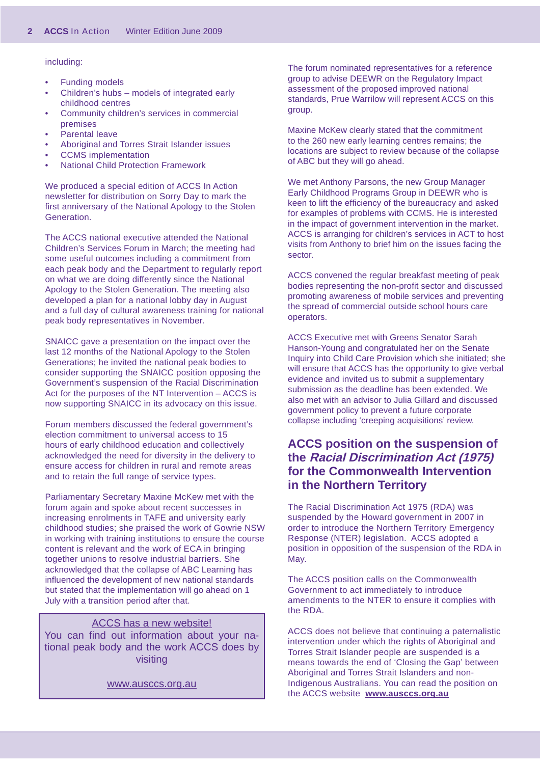#### including:

- Funding models •
- Children's hubs models of integrated early childhood centres •
- Community children's services in commercial premises •
- Parental leave •
- Aboriginal and Torres Strait Islander issues •
- CCMS implementation •
- National Child Protection Framework •

We produced a special edition of ACCS In Action newsletter for distribution on Sorry Day to mark the first anniversary of the National Apology to the Stolen Generation.

The ACCS national executive attended the National Children's Services Forum in March; the meeting had some useful outcomes including a commitment from each peak body and the Department to regularly report on what we are doing differently since the National Apology to the Stolen Generation. The meeting also developed a plan for a national lobby day in August and a full day of cultural awareness training for national peak body representatives in November.

SNAICC gave a presentation on the impact over the last 12 months of the National Apology to the Stolen Generations; he invited the national peak bodies to consider supporting the SNAICC position opposing the Government's suspension of the Racial Discrimination Act for the purposes of the NT Intervention – ACCS is now supporting SNAICC in its advocacy on this issue.

Forum members discussed the federal government's election commitment to universal access to 15 hours of early childhood education and collectively acknowledged the need for diversity in the delivery to ensure access for children in rural and remote areas and to retain the full range of service types.

Parliamentary Secretary Maxine McKew met with the forum again and spoke about recent successes in increasing enrolments in TAFE and university early childhood studies; she praised the work of Gowrie NSW in working with training institutions to ensure the course content is relevant and the work of ECA in bringing together unions to resolve industrial barriers. She acknowledged that the collapse of ABC Learning has influenced the development of new national standards but stated that the implementation will go ahead on 1 July with a transition period after that.

ACCS has a new website! You can find out information about your national peak body and the work ACCS does by visiting

www.ausccs.org.au

The forum nominated representatives for a reference group to advise DEEWR on the Regulatory Impact assessment of the proposed improved national standards, Prue Warrilow will represent ACCS on this group.

Maxine McKew clearly stated that the commitment to the 260 new early learning centres remains; the locations are subject to review because of the collapse of ABC but they will go ahead.

We met Anthony Parsons, the new Group Manager Early Childhood Programs Group in DEEWR who is keen to lift the efficiency of the bureaucracy and asked for examples of problems with CCMS. He is interested in the impact of government intervention in the market. ACCS is arranging for children's services in ACT to host visits from Anthony to brief him on the issues facing the sector.

ACCS convened the regular breakfast meeting of peak bodies representing the non-profit sector and discussed promoting awareness of mobile services and preventing the spread of commercial outside school hours care operators.

ACCS Executive met with Greens Senator Sarah Hanson-Young and congratulated her on the Senate Inquiry into Child Care Provision which she initiated; she will ensure that ACCS has the opportunity to give verbal evidence and invited us to submit a supplementary submission as the deadline has been extended. We also met with an advisor to Julia Gillard and discussed government policy to prevent a future corporate collapse including 'creeping acquisitions' review.

#### **ACCS position on the suspension of the Racial Discrimination Act (1975) for the Commonwealth Intervention in the Northern Territory**

The Racial Discrimination Act 1975 (RDA) was suspended by the Howard government in 2007 in order to introduce the Northern Territory Emergency Response (NTER) legislation. ACCS adopted a position in opposition of the suspension of the RDA in May.

The ACCS position calls on the Commonwealth Government to act immediately to introduce amendments to the NTER to ensure it complies with the RDA.

ACCS does not believe that continuing a paternalistic intervention under which the rights of Aboriginal and Torres Strait Islander people are suspended is a means towards the end of 'Closing the Gap' between Aboriginal and Torres Strait Islanders and non-Indigenous Australians. You can read the position on the ACCS website **www.ausccs.org.au**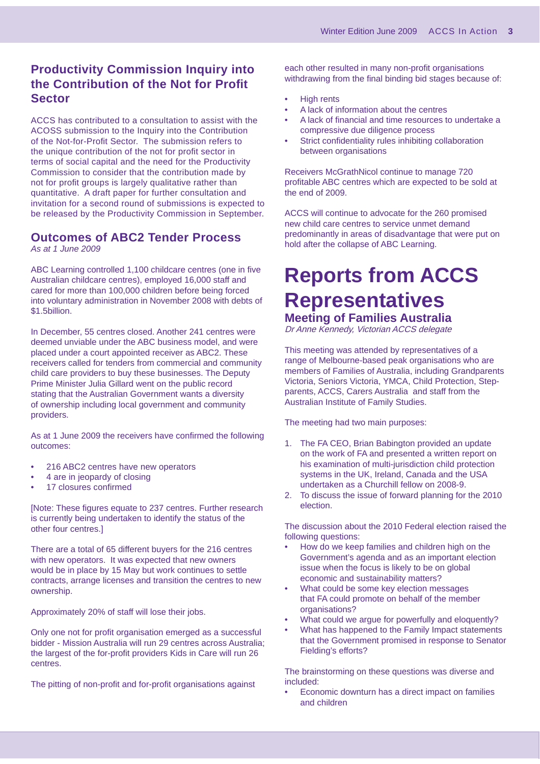#### **Productivity Commission Inquiry into the Contribution of the Not for Profit Sector**

ACCS has contributed to a consultation to assist with the ACOSS submission to the Inquiry into the Contribution of the Not-for-Profit Sector. The submission refers to the unique contribution of the not for profit sector in terms of social capital and the need for the Productivity Commission to consider that the contribution made by not for profit groups is largely qualitative rather than quantitative. A draft paper for further consultation and invitation for a second round of submissions is expected to be released by the Productivity Commission in September.

### **Outcomes of ABC2 Tender Process**

*As at 1 June 2009*

ABC Learning controlled 1,100 childcare centres (one in five Australian childcare centres), employed 16,000 staff and cared for more than 100,000 children before being forced into voluntary administration in November 2008 with debts of \$1.5billion.

In December, 55 centres closed. Another 241 centres were deemed unviable under the ABC business model, and were placed under a court appointed receiver as ABC2. These receivers called for tenders from commercial and community child care providers to buy these businesses. The Deputy Prime Minister Julia Gillard went on the public record stating that the Australian Government wants a diversity of ownership including local government and community providers.

As at 1 June 2009 the receivers have confirmed the following outcomes:

- 216 ABC2 centres have new operators •
- 4 are in jeopardy of closing •
- 17 closures confirmed •

[Note: These figures equate to 237 centres. Further research is currently being undertaken to identify the status of the other four centres.]

There are a total of 65 different buyers for the 216 centres with new operators. It was expected that new owners would be in place by 15 May but work continues to settle contracts, arrange licenses and transition the centres to new ownership.

Approximately 20% of staff will lose their jobs.

Only one not for profit organisation emerged as a successful bidder - Mission Australia will run 29 centres across Australia; the largest of the for-profit providers Kids in Care will run 26 centres.

The pitting of non-profit and for-profit organisations against

each other resulted in many non-profit organisations withdrawing from the final binding bid stages because of:

- High rents •
- A lack of information about the centres •
- A lack of financial and time resources to undertake a compressive due diligence process •
- Strict confidentiality rules inhibiting collaboration between organisations •

Receivers McGrathNicol continue to manage 720 profitable ABC centres which are expected to be sold at the end of 2009.

ACCS will continue to advocate for the 260 promised new child care centres to service unmet demand predominantly in areas of disadvantage that were put on hold after the collapse of ABC Learning.

# **Reports from ACCS Representatives**

**Meeting of Families Australia** Dr Anne Kennedy, Victorian ACCS delegate

This meeting was attended by representatives of a range of Melbourne-based peak organisations who are members of Families of Australia, including Grandparents Victoria, Seniors Victoria, YMCA, Child Protection, Stepparents, ACCS, Carers Australia and staff from the Australian Institute of Family Studies.

The meeting had two main purposes:

- 1. The FA CEO, Brian Babington provided an update on the work of FA and presented a written report on his examination of multi-jurisdiction child protection systems in the UK, Ireland, Canada and the USA undertaken as a Churchill fellow on 2008-9.
- 2. To discuss the issue of forward planning for the 2010 election.

The discussion about the 2010 Federal election raised the following questions:

- How do we keep families and children high on the Government's agenda and as an important election issue when the focus is likely to be on global economic and sustainability matters? •
- What could be some key election messages that FA could promote on behalf of the member organisations? •
- What could we argue for powerfully and eloquently? •
- What has happened to the Family Impact statements that the Government promised in response to Senator Fielding's efforts? •

The brainstorming on these questions was diverse and included:

Economic downturn has a direct impact on families and children •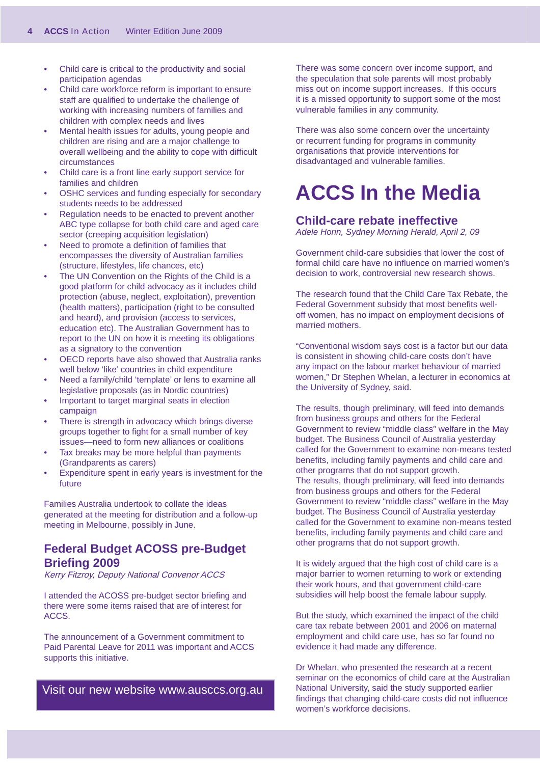- Child care is critical to the productivity and social participation agendas •
- Child care workforce reform is important to ensure staff are qualified to undertake the challenge of working with increasing numbers of families and children with complex needs and lives •
- Mental health issues for adults, young people and children are rising and are a major challenge to overall wellbeing and the ability to cope with difficult circumstances •
- Child care is a front line early support service for families and children •
- OSHC services and funding especially for secondary students needs to be addressed •
- Regulation needs to be enacted to prevent another ABC type collapse for both child care and aged care sector (creeping acquisition legislation) •
- Need to promote a definition of families that encompasses the diversity of Australian families (structure, lifestyles, life chances, etc) •
- The UN Convention on the Rights of the Child is a good platform for child advocacy as it includes child protection (abuse, neglect, exploitation), prevention (health matters), participation (right to be consulted and heard), and provision (access to services, education etc). The Australian Government has to report to the UN on how it is meeting its obligations as a signatory to the convention •
- OECD reports have also showed that Australia ranks well below 'like' countries in child expenditure •
- Need a family/child 'template' or lens to examine all legislative proposals (as in Nordic countries) •
- Important to target marginal seats in election campaign •
- There is strength in advocacy which brings diverse groups together to fight for a small number of key issues—need to form new alliances or coalitions •
- Tax breaks may be more helpful than payments (Grandparents as carers) •
- Expenditure spent in early years is investment for the future •

Families Australia undertook to collate the ideas generated at the meeting for distribution and a follow-up meeting in Melbourne, possibly in June.

#### **Federal Budget ACOSS pre-Budget Briefi ng 2009**

Kerry Fitzroy, Deputy National Convenor ACCS

I attended the ACOSS pre-budget sector briefing and there were some items raised that are of interest for ACCS.

The announcement of a Government commitment to Paid Parental Leave for 2011 was important and ACCS supports this initiative.

Visit our new website www.ausccs.org.au

There was some concern over income support, and the speculation that sole parents will most probably miss out on income support increases. If this occurs it is a missed opportunity to support some of the most vulnerable families in any community.

There was also some concern over the uncertainty or recurrent funding for programs in community organisations that provide interventions for disadvantaged and vulnerable families.

# **ACCS In the Media**

#### **Child-care rebate ineffective**

*Adele Horin, Sydney Morning Herald, April 2, 09*

Government child-care subsidies that lower the cost of formal child care have no influence on married women's decision to work, controversial new research shows.

The research found that the Child Care Tax Rebate, the Federal Government subsidy that most benefits welloff women, has no impact on employment decisions of married mothers.

"Conventional wisdom says cost is a factor but our data is consistent in showing child-care costs don't have any impact on the labour market behaviour of married women," Dr Stephen Whelan, a lecturer in economics at the University of Sydney, said.

The results, though preliminary, will feed into demands from business groups and others for the Federal Government to review "middle class" welfare in the May budget. The Business Council of Australia yesterday called for the Government to examine non-means tested benefits, including family payments and child care and other programs that do not support growth. The results, though preliminary, will feed into demands from business groups and others for the Federal Government to review "middle class" welfare in the May budget. The Business Council of Australia yesterday called for the Government to examine non-means tested benefits, including family payments and child care and other programs that do not support growth.

It is widely argued that the high cost of child care is a major barrier to women returning to work or extending their work hours, and that government child-care subsidies will help boost the female labour supply.

But the study, which examined the impact of the child care tax rebate between 2001 and 2006 on maternal employment and child care use, has so far found no evidence it had made any difference.

Dr Whelan, who presented the research at a recent seminar on the economics of child care at the Australian National University, said the study supported earlier findings that changing child-care costs did not influence women's workforce decisions.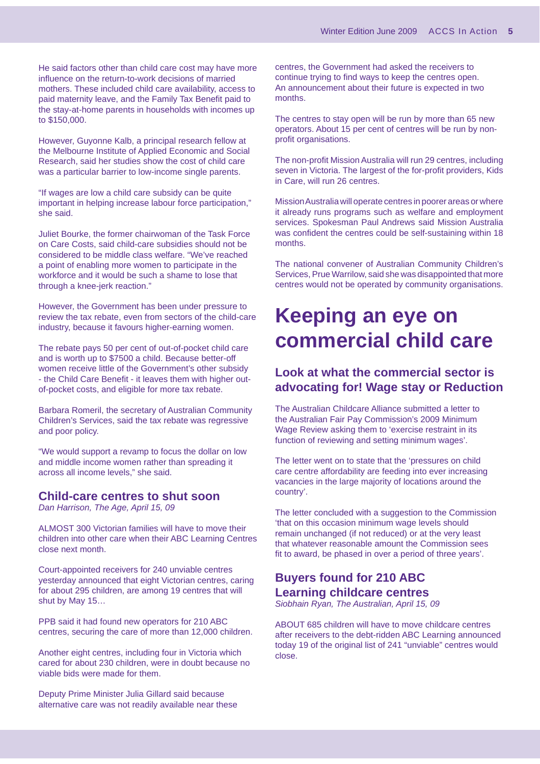He said factors other than child care cost may have more influence on the return-to-work decisions of married mothers. These included child care availability, access to paid maternity leave, and the Family Tax Benefit paid to the stay-at-home parents in households with incomes up to \$150,000.

However, Guyonne Kalb, a principal research fellow at the Melbourne Institute of Applied Economic and Social Research, said her studies show the cost of child care was a particular barrier to low-income single parents.

"If wages are low a child care subsidy can be quite important in helping increase labour force participation," she said.

Juliet Bourke, the former chairwoman of the Task Force on Care Costs, said child-care subsidies should not be considered to be middle class welfare. "We've reached a point of enabling more women to participate in the workforce and it would be such a shame to lose that through a knee-jerk reaction."

However, the Government has been under pressure to review the tax rebate, even from sectors of the child-care industry, because it favours higher-earning women.

The rebate pays 50 per cent of out-of-pocket child care and is worth up to \$7500 a child. Because better-off women receive little of the Government's other subsidy - the Child Care Benefit - it leaves them with higher outof-pocket costs, and eligible for more tax rebate.

Barbara Romeril, the secretary of Australian Community Children's Services, said the tax rebate was regressive and poor policy.

"We would support a revamp to focus the dollar on low and middle income women rather than spreading it across all income levels," she said.

#### **Child-care centres to shut soon**

*Dan Harrison, The Age, April 15, 09*

ALMOST 300 Victorian families will have to move their children into other care when their ABC Learning Centres close next month.

Court-appointed receivers for 240 unviable centres yesterday announced that eight Victorian centres, caring for about 295 children, are among 19 centres that will shut by May 15…

PPB said it had found new operators for 210 ABC centres, securing the care of more than 12,000 children.

Another eight centres, including four in Victoria which cared for about 230 children, were in doubt because no viable bids were made for them.

Deputy Prime Minister Julia Gillard said because alternative care was not readily available near these centres, the Government had asked the receivers to continue trying to find ways to keep the centres open. An announcement about their future is expected in two months.

The centres to stay open will be run by more than 65 new operators. About 15 per cent of centres will be run by nonprofit organisations.

The non-profit Mission Australia will run 29 centres, including seven in Victoria. The largest of the for-profit providers, Kids in Care, will run 26 centres.

Mission Australia will operate centres in poorer areas or where it already runs programs such as welfare and employment services. Spokesman Paul Andrews said Mission Australia was confident the centres could be self-sustaining within 18 months.

The national convener of Australian Community Children's Services, Prue Warrilow, said she was disappointed that more centres would not be operated by community organisations.

## **Keeping an eye on commercial child care**

#### **Look at what the commercial sector is advocating for! Wage stay or Reduction**

The Australian Childcare Alliance submitted a letter to the Australian Fair Pay Commission's 2009 Minimum Wage Review asking them to 'exercise restraint in its function of reviewing and setting minimum wages'.

The letter went on to state that the 'pressures on child care centre affordability are feeding into ever increasing vacancies in the large majority of locations around the country'.

The letter concluded with a suggestion to the Commission 'that on this occasion minimum wage levels should remain unchanged (if not reduced) or at the very least that whatever reasonable amount the Commission sees fit to award, be phased in over a period of three years'.

### **Buyers found for 210 ABC Learning childcare centres**

*Siobhain Ryan, The Australian, April 15, 09* 

ABOUT 685 children will have to move childcare centres after receivers to the debt-ridden ABC Learning announced today 19 of the original list of 241 "unviable" centres would close.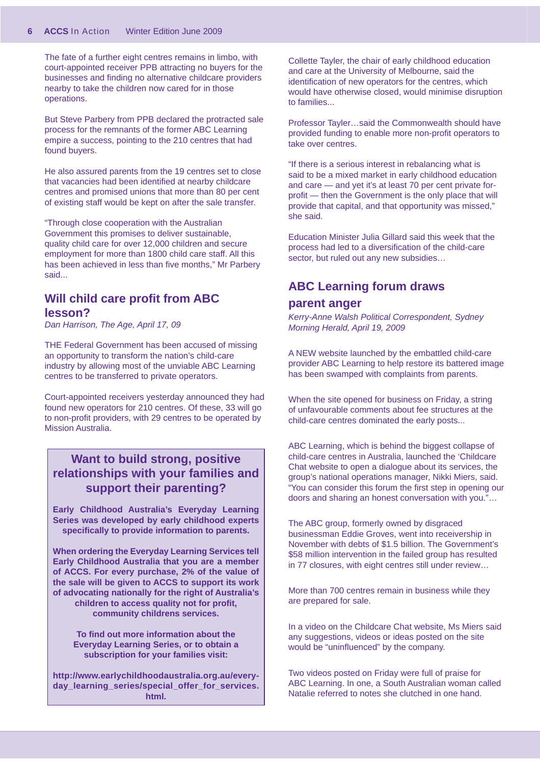The fate of a further eight centres remains in limbo, with court-appointed receiver PPB attracting no buyers for the businesses and finding no alternative childcare providers nearby to take the children now cared for in those operations.

But Steve Parbery from PPB declared the protracted sale process for the remnants of the former ABC Learning empire a success, pointing to the 210 centres that had found buyers.

He also assured parents from the 19 centres set to close that vacancies had been identified at nearby childcare centres and promised unions that more than 80 per cent of existing staff would be kept on after the sale transfer.

"Through close cooperation with the Australian Government this promises to deliver sustainable, quality child care for over 12,000 children and secure employment for more than 1800 child care staff. All this has been achieved in less than five months," Mr Parbery said...

#### **Will child care profit from ABC lesson?**

*Dan Harrison, The Age, April 17, 09* 

THE Federal Government has been accused of missing an opportunity to transform the nation's child-care industry by allowing most of the unviable ABC Learning centres to be transferred to private operators.

Court-appointed receivers yesterday announced they had found new operators for 210 centres. Of these, 33 will go to non-profit providers, with 29 centres to be operated by Mission Australia.

#### **Want to build strong, positive relationships with your families and support their parenting?**

**Early Childhood Australia's Everyday Learning Series was developed by early childhood experts specifi cally to provide information to parents.**

**When ordering the Everyday Learning Services tell Early Childhood Australia that you are a member of ACCS. For every purchase, 2% of the value of the sale will be given to ACCS to support its work of advocating nationally for the right of Australia's children to access quality not for profi t, community childrens services.**

> **To find out more information about the Everyday Learning Series, or to obtain a subscription for your families visit:**

**http://www.earlychildhoodaustralia.org.au/everyday\_learning\_series/special\_offer\_for\_services. html.** 

Collette Tayler, the chair of early childhood education and care at the University of Melbourne, said the identification of new operators for the centres, which would have otherwise closed, would minimise disruption to families...

Professor Tayler…said the Commonwealth should have provided funding to enable more non-profit operators to take over centres.

"If there is a serious interest in rebalancing what is said to be a mixed market in early childhood education and care — and yet it's at least 70 per cent private forprofit — then the Government is the only place that will provide that capital, and that opportunity was missed," she said.

Education Minister Julia Gillard said this week that the process had led to a diversification of the child-care sector, but ruled out any new subsidies…

### **ABC Learning forum draws**

#### **parent anger**

*Kerry-Anne Walsh Political Correspondent, Sydney Morning Herald, April 19, 2009*

A NEW website launched by the embattled child-care provider ABC Learning to help restore its battered image has been swamped with complaints from parents.

When the site opened for business on Friday, a string of unfavourable comments about fee structures at the child-care centres dominated the early posts...

ABC Learning, which is behind the biggest collapse of child-care centres in Australia, launched the 'Childcare Chat website to open a dialogue about its services, the group's national operations manager, Nikki Miers, said. "You can consider this forum the first step in opening our doors and sharing an honest conversation with you."…

The ABC group, formerly owned by disgraced businessman Eddie Groves, went into receivership in November with debts of \$1.5 billion. The Government's \$58 million intervention in the failed group has resulted in 77 closures, with eight centres still under review…

More than 700 centres remain in business while they are prepared for sale.

In a video on the Childcare Chat website, Ms Miers said any suggestions, videos or ideas posted on the site would be "uninfluenced" by the company.

Two videos posted on Friday were full of praise for ABC Learning. In one, a South Australian woman called Natalie referred to notes she clutched in one hand.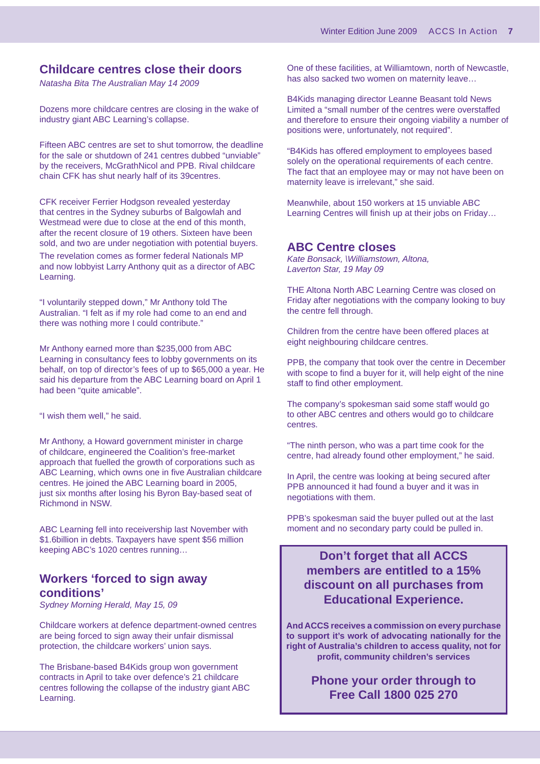#### **Childcare centres close their doors**

*Natasha Bita The Australian May 14 2009*

Dozens more childcare centres are closing in the wake of industry giant ABC Learning's collapse.

Fifteen ABC centres are set to shut tomorrow, the deadline for the sale or shutdown of 241 centres dubbed "unviable" by the receivers, McGrathNicol and PPB. Rival childcare chain CFK has shut nearly half of its 39centres.

CFK receiver Ferrier Hodgson revealed yesterday that centres in the Sydney suburbs of Balgowlah and Westmead were due to close at the end of this month, after the recent closure of 19 others. Sixteen have been sold, and two are under negotiation with potential buyers. The revelation comes as former federal Nationals MP and now lobbyist Larry Anthony quit as a director of ABC Learning.

"I voluntarily stepped down," Mr Anthony told The Australian. "I felt as if my role had come to an end and there was nothing more I could contribute."

Mr Anthony earned more than \$235,000 from ABC Learning in consultancy fees to lobby governments on its behalf, on top of director's fees of up to \$65,000 a year. He said his departure from the ABC Learning board on April 1 had been "quite amicable".

"I wish them well," he said.

Mr Anthony, a Howard government minister in charge of childcare, engineered the Coalition's free-market approach that fuelled the growth of corporations such as ABC Learning, which owns one in five Australian childcare centres. He joined the ABC Learning board in 2005, just six months after losing his Byron Bay-based seat of Richmond in NSW.

ABC Learning fell into receivership last November with \$1.6billion in debts. Taxpayers have spent \$56 million keeping ABC's 1020 centres running…

#### **Workers 'forced to sign away conditions'**

*Sydney Morning Herald, May 15, 09*

Childcare workers at defence department-owned centres are being forced to sign away their unfair dismissal protection, the childcare workers' union says.

The Brisbane-based B4Kids group won government contracts in April to take over defence's 21 childcare centres following the collapse of the industry giant ABC Learning.

One of these facilities, at Williamtown, north of Newcastle, has also sacked two women on maternity leave…

B4Kids managing director Leanne Beasant told News Limited a "small number of the centres were overstaffed and therefore to ensure their ongoing viability a number of positions were, unfortunately, not required".

"B4Kids has offered employment to employees based solely on the operational requirements of each centre. The fact that an employee may or may not have been on maternity leave is irrelevant," she said.

Meanwhile, about 150 workers at 15 unviable ABC Learning Centres will finish up at their jobs on Friday...

#### **ABC Centre closes**

*Kate Bonsack, \Williamstown, Altona, Laverton Star, 19 May 09*

THE Altona North ABC Learning Centre was closed on Friday after negotiations with the company looking to buy the centre fell through.

Children from the centre have been offered places at eight neighbouring childcare centres.

PPB, the company that took over the centre in December with scope to find a buyer for it, will help eight of the nine staff to find other employment.

The company's spokesman said some staff would go to other ABC centres and others would go to childcare centres.

"The ninth person, who was a part time cook for the centre, had already found other employment," he said.

In April, the centre was looking at being secured after PPB announced it had found a buyer and it was in negotiations with them.

PPB's spokesman said the buyer pulled out at the last moment and no secondary party could be pulled in.

**Don't forget that all ACCS members are entitled to a 15% discount on all purchases from Educational Experience.**

**And ACCS receives a commission on every purchase to support it's work of advocating nationally for the right of Australia's children to access quality, not for profi t, community children's services** 

> **Phone your order through to Free Call 1800 025 270**